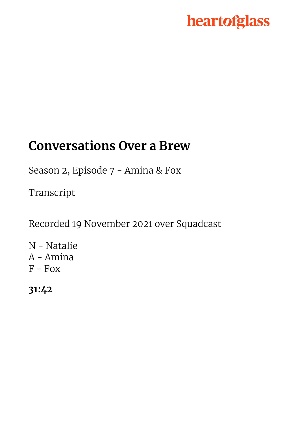# heartofglass

### **Conversations Over a Brew**

Season 2, Episode 7 - Amina & Fox

Transcript

Recorded 19 November 2021 over Squadcast

N - Natalie A - Amina  $F$  - Fox

**31:42**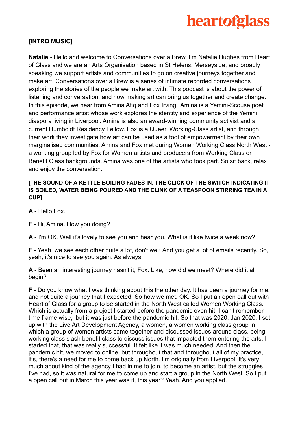

### **[INTRO MUSIC]**

**Natalie -** Hello and welcome to Conversations over a Brew. I'm Natalie Hughes from Heart of Glass and we are an Arts Organisation based in St Helens, Merseyside, and broadly speaking we support artists and communities to go on creative journeys together and make art. Conversations over a Brew is a series of intimate recorded conversations exploring the stories of the people we make art with. This podcast is about the power of listening and conversation, and how making art can bring us together and create change. In this episode, we hear from Amina Atiq and Fox Irving. Amina is a Yemini-Scouse poet and performance artist whose work explores the identity and experience of the Yemini diaspora living in Liverpool. Amina is also an award-winning community activist and a current Humboldt Residency Fellow. Fox is a Queer, Working-Class artist, and through their work they investigate how art can be used as a tool of empowerment by their own marginalised communities. Amina and Fox met during Women Working Class North West [a working group led by Fox for Women artists and producers from Working Class or](https://www.heartofglass.org.uk/thoughts-and-news/news/women-working-class-new-north-west-group?token=ftBvyp2FIhnvrbObgSvOY5z1d6NJF1VQ&x-craft-preview=OU8WQXnDCy) [Benefit Class backgrounds](https://www.heartofglass.org.uk/thoughts-and-news/news/women-working-class-new-north-west-group?token=ftBvyp2FIhnvrbObgSvOY5z1d6NJF1VQ&x-craft-preview=OU8WQXnDCy). Amina was one of the artists who took part. So sit back, relax and enjoy the conversation.

#### **[THE SOUND OF A KETTLE BOILING FADES IN, THE CLICK OF THE SWITCH INDICATING IT IS BOILED, WATER BEING POURED AND THE CLINK OF A TEASPOON STIRRING TEA IN A CUP]**

**A -** Hello Fox.

**F -** Hi, Amina. How you doing?

**A -** I'm OK. Well it's lovely to see you and hear you. What is it like twice a week now?

**F -** Yeah, we see each other quite a lot, don't we? And you get a lot of emails recently. So, yeah, it's nice to see you again. As always.

**A -** Been an interesting journey hasn't it, Fox. Like, how did we meet? Where did it all begin?

**F -** Do you know what I was thinking about this the other day. It has been a journey for me, and not quite a journey that I expected. So how we met. OK. So I put an open call out with Heart of Glass for a group to be started in the North West called Women Working Class. Which is actually from a project I started before the pandemic even hit. I can't remember time frame wise, but it was just before the pandemic hit. So that was 2020, Jan 2020. I set up with the Live Art Development Agency, a women, a women working class group in which a group of women artists came together and discussed issues around class, being working class slash benefit class to discuss issues that impacted them entering the arts. I started that, that was really successful. It felt like it was much needed. And then the pandemic hit, we moved to online, but throughout that and throughout all of my practice, it's, there's a need for me to come back up North. I'm originally from Liverpool. It's very much about kind of the agency I had in me to join, to become an artist, but the struggles I've had, so it was natural for me to come up and start a group in the North West. So I put a open call out in March this year was it, this year? Yeah. And you applied.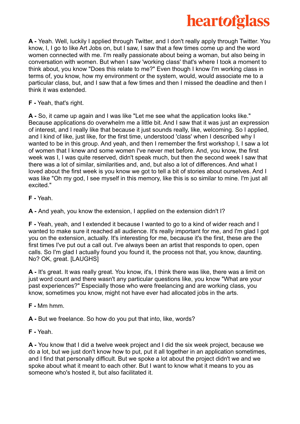

**A -** Yeah. Well, luckily I applied through Twitter, and I don't really apply through Twitter. You know, I, I go to like Art Jobs on, but I saw, I saw that a few times come up and the word women connected with me. I'm really passionate about being a woman, but also being in conversation with women. But when I saw 'working class' that's where I took a moment to think about, you know "Does this relate to me?" Even though I know I'm working class in terms of, you know, how my environment or the system, would, would associate me to a particular class, but, and I saw that a few times and then I missed the deadline and then I think it was extended.

**F -** Yeah, that's right.

**A -** So, it came up again and I was like "Let me see what the application looks like." Because applications do overwhelm me a little bit. And I saw that it was just an expression of interest, and I really like that because it just sounds really, like, welcoming. So I applied, and I kind of like, just like, for the first time, understood 'class' when I described why I wanted to be in this group. And yeah, and then I remember the first workshop I, I saw a lot of women that I knew and some women I've never met before. And, you know, the first week was I, I was quite reserved, didn't speak much, but then the second week I saw that there was a lot of similar, similarities and, and, but also a lot of differences. And what I loved about the first week is you know we got to tell a bit of stories about ourselves. And I was like "Oh my god, I see myself in this memory, like this is so similar to mine. I'm just all excited."

**F -** Yeah.

**A -** And yeah, you know the extension, I applied on the extension didn't I?

**F -** Yeah, yeah, and I extended it because I wanted to go to a kind of wider reach and I wanted to make sure it reached all audience. It's really important for me, and I'm glad I got you on the extension, actually. It's interesting for me, because it's the first, these are the first times I've put out a call out. I've always been an artist that responds to open, open calls. So I'm glad I actually found you found it, the process not that, you know, daunting. No? OK, great. [LAUGHS]

**A -** It's great. It was really great. You know, it's, I think there was like, there was a limit on just word count and there wasn't any particular questions like, you know "What are your past experiences?" Especially those who were freelancing and are working class, you know, sometimes you know, might not have ever had allocated jobs in the arts.

**F -** Mm hmm.

**A -** But we freelance. So how do you put that into, like, words?

**F -** Yeah.

**A -** You know that I did a twelve week project and I did the six week project, because we do a lot, but we just don't know how to put, put it all together in an application sometimes, and I find that personally difficult. But we spoke a lot about the project didn't we and we spoke about what it meant to each other. But I want to know what it means to you as someone who's hosted it, but also facilitated it.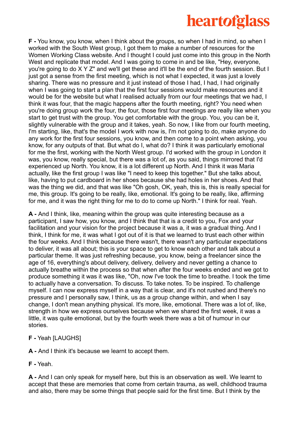## **heartofglass**

**F -** You know, you know, when I think about the groups, so when I had in mind, so when I worked with the South West group, I got them to make a number of resources for the Women Working Class website. And I thought I could just come into this group in the North West and replicate that model. And I was going to come in and be like, "Hey, everyone, you're going to do X Y Z" and we'll get these and it'll be the end of the fourth session. But I just got a sense from the first meeting, which is not what I expected, it was just a lovely sharing. There was no pressure and it just instead of those I had, I had, I had originally when I was going to start a plan that the first four sessions would make resources and it would be for the website but what I realised actually from our four meetings that we had, I think it was four, that the magic happens after the fourth meeting, right? You need when you're doing group work the four, the four, those first four meetings are really like when you start to get trust with the group. You get comfortable with the group. You, you can be it, slightly vulnerable with the group and it takes, yeah. So now, I like from our fourth meeting, I'm starting, like, that's the model I work with now is, I'm not going to do, make anyone do any work for the first four sessions, you know, and then come to a point when asking, you know, for any outputs of that. But what do I, what do? I think it was particularly emotional for me the first, working with the North West group. I'd worked with the group in London it was, you know, really special, but there was a lot of, as you said, things mirrored that I'd experienced up North. You know, it is a lot different up North. And I think it was Maria actually, like the first group I was like "I need to keep this together." But she talks about, like, having to put cardboard in her shoes because she had holes in her shoes. And that was the thing we did, and that was like "Oh gosh, OK, yeah, this is, this is really special for me, this group. It's going to be really, like, emotional. It's going to be really, like, affirming for me, and it was the right thing for me to do to come up North." I think for real. Yeah.

**A -** And I think, like, meaning within the group was quite interesting because as a participant, I saw how, you know, and I think that that is a credit to you, Fox and your facilitation and your vision for the project because it was a, it was a gradual thing. And I think, I think for me, it was what I got out of it is that we learned to trust each other within the four weeks. And I think because there wasn't, there wasn't any particular expectations to deliver, it was all about; this is your space to get to know each other and talk about a particular theme. It was just refreshing because, you know, being a freelancer since the age of 16, everything's about delivery, delivery, delivery and never getting a chance to actually breathe within the process so that when after the four weeks ended and we got to produce something it was it was like, "Oh, now I've took the time to breathe. I took the time to actually have a conversation. To discuss. To take notes. To be inspired. To challenge myself. I can now express myself in a way that is clear, and it's not rushed and there's no pressure and I personally saw, I think, us as a group change within, and when I say change, I don't mean anything physical. It's more, like, emotional. There was a lot of, like, strength in how we express ourselves because when we shared the first week, it was a little, it was quite emotional, but by the fourth week there was a bit of humour in our stories.

**F -** Yeah [LAUGHS]

**A -** And I think it's because we learnt to accept them.

**F -** Yeah.

**A -** And I can only speak for myself here, but this is an observation as well. We learnt to accept that these are memories that come from certain trauma, as well, childhood trauma and also, there may be some things that people said for the first time. But I think by the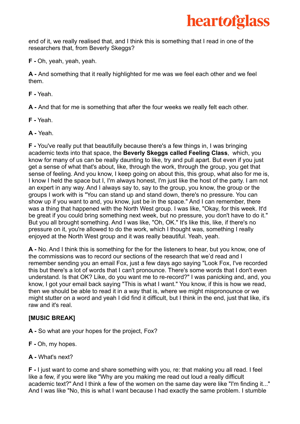

end of it, we really realised that, and I think this is something that I read in one of the researchers that, from Beverly Skeggs?

**F -** Oh, yeah, yeah, yeah.

**A -** And something that it really highlighted for me was we feel each other and we feel them.

**F -** Yeah.

**A -** And that for me is something that after the four weeks we really felt each other.

**F -** Yeah.

**A -** Yeah.

**F -** You've really put that beautifully because there's a few things in, I was bringing academic texts into that space, the **Beverly Skeggs called Feeling Class**, which, you know for many of us can be really daunting to like, try and pull apart. But even if you just get a sense of what that's about, like, through the work, through the group, you get that sense of feeling. And you know, I keep going on about this, this group, what also for me is, I know I held the space but I, I'm always honest, I'm just like the host of the party. I am not an expert in any way. And I always say to, say to the group, you know, the group or the groups I work with is "You can stand up and stand down, there's no pressure. You can show up if you want to and, you know, just be in the space." And I can remember, there was a thing that happened with the North West group. I was like, "Okay, for this week. It'd be great if you could bring something next week, but no pressure, you don't have to do it." But you all brought something. And I was like, "Oh, OK." It's like this, like, if there's no pressure on it, you're allowed to do the work, which I thought was, something I really enjoyed at the North West group and it was really beautiful. Yeah, yeah.

**A -** No. And I think this is something for the for the listeners to hear, but you know, one of the commissions was to record our sections of the research that we'd read and I remember sending you an email Fox, just a few days ago saying "Look Fox, I've recorded this but there's a lot of words that I can't pronounce. There's some words that I don't even understand. Is that OK? Like, do you want me to re-record?" I was panicking and, and, you know, I got your email back saying "This is what I want." You know, if this is how we read, then we should be able to read it in a way that is, where we might mispronounce or we might stutter on a word and yeah I did find it difficult, but I think in the end, just that like, it's raw and it's real.

### **[MUSIC BREAK]**

**A -** So what are your hopes for the project, Fox?

- **F -** Oh, my hopes.
- **A -** What's next?

**F -** I just want to come and share something with you, re: that making you all read. I feel like a few, if you were like "Why are you making me read out loud a really difficult academic text?" And I think a few of the women on the same day were like "I'm finding it..." And I was like "No, this is what I want because I had exactly the same problem. I stumble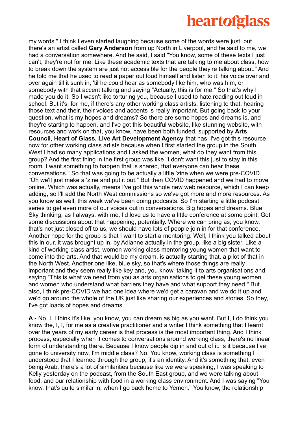### **heartofglass**

my words." I think I even started laughing because some of the words were just, but there's an artist called **Gary Anderson** from up North in Liverpool, and he said to me, we had a conversation somewhere. And he said, I said "You know, some of these texts I just can't, they're not for me. Like these academic texts that are talking to me about class, how to break down the system are just not accessible for the people they're talking about." And he told me that he used to read a paper out loud himself and listen to it, his voice over and over again till it sunk in, 'til he could hear as somebody like him, who was him, or somebody with that accent talking and saying "Actually, this is for me." So that's why I made you do it. So I wasn't like torturing you, because I used to hate reading out loud in school. But it's, for me, if there's any other working class artists, listening to that, hearing those text and their, their voices and accents is really important. But going back to your question, what is my hopes and dreams? So there are some hopes and dreams is, and they're starting to happen, and I've got this beautiful website, like stunning website, with resources and work on that, you know, have been both funded, supported by **Arts Council, Heart of Glass, Live Art Development Agency** that has, I've got this resource now for other working class artists because when I first started the group in the South West I had so many applications and I asked the women, what do they want from this group? And the first thing in the first group was like "I don't want this just to stay in this room. I want something to happen that is shared, that everyone can hear these conversations." So that was going to be actually a little 'zine when we were pre-COVID. "Oh we'll just make a 'zine and put it out." But then COVID happened and we had to move online. Which was actually, means I've got this whole new web resource, which I can keep adding, so I'll add the North West commissions so we've got more and more resources. As you know as well, this week we've been doing podcasts. So I'm starting a little podcast series to get even more of our voices out in conversations. Big hopes and dreams. Blue Sky thinking, as I always, with me, I'd love us to have a little conference at some point. Got some discussions about that happening, potentially. Where we can bring as, you know, that's not just closed off to us, we should have lots of people join in for that conference. Another hope for the group is that I want to start a mentoring. Well, I think you talked about this in our, it was brought up in, by Adianne actually in the group, like a big sister. Like a kind of working class artist, women working class mentoring young women that want to come into the arts. And that would be my dream, is actually starting that, a pilot of that in the North West. Another one like, blue sky, so that's where those things are really important and they seem really like key and, you know, taking it to arts organisations and saying "This is what we need from you as arts organisations to get these young women and women who understand what barriers they have and what support they need." But also, I think pre-COVID we had one idea where we'd get a caravan and we do it up and we'd go around the whole of the UK just like sharing our experiences and stories. So they, I've got loads of hopes and dreams.

**A -** No, I, I think it's like, you know, you can dream as big as you want. But I, I do think you know the, I, I, for me as a creative practitioner and a writer I think something that I learnt over the years of my early career is that process is the most important thing. And I think process, especially when it comes to conversations around working class, there's no linear form of understanding there. Because I know people dip in and out of it. Is it because I've gone to university now, I'm middle class? No. You know, working class is something I understood that I learned through the group, it's an identity. And it's something that, even being Arab, there's a lot of similarities because like we were speaking, I was speaking to Kelly yesterday on the podcast, from the South East group, and we were talking about food, and our relationship with food in a working class environment. And I was saying "You know, that's quite similar in, when I go back home to Yemen." You know, the relationship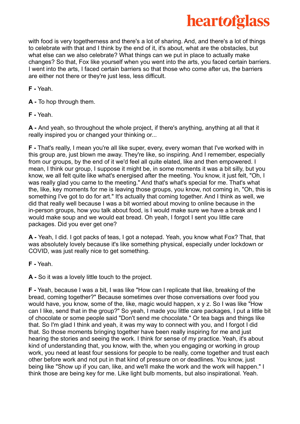

with food is very togetherness and there's a lot of sharing. And, and there's a lot of things to celebrate with that and I think by the end of it, it's about, what are the obstacles, but what else can we also celebrate? What things can we put in place to actually make changes? So that, Fox like yourself when you went into the arts, you faced certain barriers. I went into the arts, I faced certain barriers so that those who come after us, the barriers are either not there or they're just less, less difficult.

**F -** Yeah.

- **A -** To hop through them.
- **F -** Yeah.

**A -** And yeah, so throughout the whole project, if there's anything, anything at all that it really inspired you or changed your thinking or...

**F -** That's really, I mean you're all like super, every, every woman that I've worked with in this group are, just blown me away. They're like, so inspiring. And I remember, especially from our groups, by the end of it we'd feel all quite elated, like and then empowered. I mean. I think our group, I suppose it might be, in some moments it was a bit silly, but you know, we all felt quite like what's energised after the meeting. You know, it just felt, "Oh, I was really glad you came to the meeting." And that's what's special for me. That's what the, like, key moments for me is leaving those groups, you know, not coming in, "Oh, this is something I've got to do for art." It's actually that coming together. And I think as well, we did that really well because I was a bit worried about moving to online because in the in-person groups, how you talk about food, is I would make sure we have a break and I would make soup and we would eat bread. Oh yeah, I forgot I sent you little care packages. Did you ever get one?

**A -** Yeah, I did. I got packs of teas, I got a notepad. Yeah, you know what Fox? That, that was absolutely lovely because it's like something physical, especially under lockdown or COVID, was just really nice to get something.

**F -** Yeah.

**A -** So it was a lovely little touch to the project.

**F -** Yeah, because I was a bit, I was like "How can I replicate that like, breaking of the bread, coming together?" Because sometimes over those conversations over food you would have, you know, some of the, like, magic would happen, x y z. So I was like "How can I like, send that in the group?" So yeah, I made you little care packages, I put a little bit of chocolate or some people said "Don't send me chocolate." Or tea bags and things like that. So I'm glad I think and yeah, it was my way to connect with you, and I forgot I did that. So those moments bringing together have been really inspiring for me and just hearing the stories and seeing the work. I think for sense of my practice. Yeah, it's about kind of understanding that, you know, with the, when you engaging or working in group work, you need at least four sessions for people to be really, come together and trust each other before work and not put in that kind of pressure on or deadlines. You know, just being like "Show up if you can, like, and we'll make the work and the work will happen." I think those are being key for me. Like light bulb moments, but also inspirational. Yeah.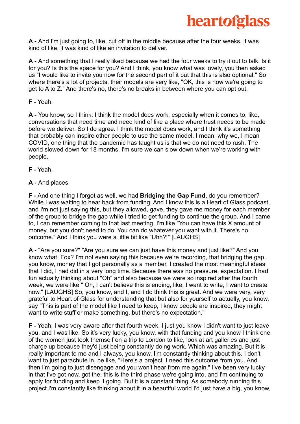

**A -** And I'm just going to, like, cut off in the middle because after the four weeks, it was kind of like, it was kind of like an invitation to deliver.

**A -** And something that I really liked because we had the four weeks to try it out to talk. Is it for you? Is this the space for you? And I think, you know what was lovely, you then asked us "I would like to invite you now for the second part of it but that this is also optional." So where there's a lot of projects, their models are very like, "OK, this is how we're going to get to A to Z." And there's no, there's no breaks in between where you can opt out.

**F -** Yeah.

**A -** You know, so I think, I think the model does work, especially when it comes to, like, conversations that need time and need kind of like a place where trust needs to be made before we deliver. So I do agree. I think the model does work, and I think it's something that probably can inspire other people to use the same model. I mean, why we, I mean COVID, one thing that the pandemic has taught us is that we do not need to rush. The world slowed down for 18 months. I'm sure we can slow down when we're working with people.

**F -** Yeah.

**A -** And places.

**F -** And one thing I forgot as well, we had **Bridging the Gap Fund,** do you remember? While I was waiting to hear back from funding. And I know this is a Heart of Glass podcast, and I'm not just saying this, but they allowed, gave, they gave me money for each member of the group to bridge the gap while I tried to get funding to continue the group. And I came to, I can remember coming to that last meeting, I'm like "You can have this X amount of money, but you don't need to do. You can do whatever you want with it. There's no outcome." And I think you were a little bit like "Uhh?!" [LAUGHS]

**A -** "Are you sure?" "Are you sure we can just have this money and just like?" And you know what, Fox? I'm not even saying this because we're recording, that bridging the gap, you know, money that I got personally as a member, I created the most meaningful ideas that I did, I had did in a very long time. Because there was no pressure, expectation. I had fun actually thinking about "Oh" and also because we were so inspired after the fourth week, we were like " Oh, I can't believe this is ending, like, I want to write, I want to create now." [LAUGHS] So, you know, and I, and I do think this is great. And we were very, very grateful to Heart of Glass for understanding that but also for yourself to actually, you know, say "This is part of the model like I need to keep, I know people are inspired, they might want to write stuff or make something, but there's no expectation."

**F -** Yeah, I was very aware after that fourth week, I just you know I didn't want to just leave you, and I was like. So it's very lucky, you know, with that funding and you know I think one of the women just took themself on a trip to London to like, look at art galleries and just charge up because they'd just being constantly doing work. Which was amazing. But it is really important to me and I always, you know, I'm constantly thinking about this. I don't want to just parachute in, be like, "Here's a project. I need this outcome from you. And then I'm going to just disengage and you won't hear from me again." I've been very lucky in that I've got now, got the, this is the third phase we're going into, and I'm continuing to apply for funding and keep it going. But it is a constant thing. As somebody running this project I'm constantly like thinking about it in a beautiful world I'd just have a big, you know,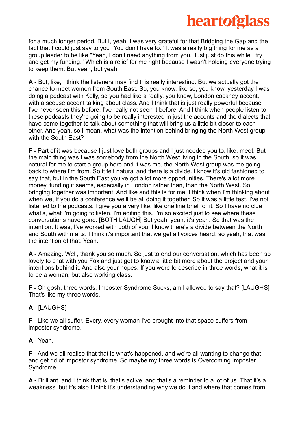

for a much longer period. But I, yeah, I was very grateful for that Bridging the Gap and the fact that I could just say to you "You don't have to." It was a really big thing for me as a group leader to be like "Yeah, I don't need anything from you. Just just do this while I try and get my funding." Which is a relief for me right because I wasn't holding everyone trying to keep them. But yeah, but yeah,

**A -** But, like, I think the listeners may find this really interesting. But we actually got the chance to meet women from South East. So, you know, like so, you know, yesterday I was doing a podcast with Kelly, so you had like a really, you know, London cockney accent, with a scouse accent talking about class. And I think that is just really powerful because I've never seen this before. I've really not seen it before. And I think when people listen to these podcasts they're going to be really interested in just the accents and the dialects that have come together to talk about something that will bring us a little bit closer to each other. And yeah, so I mean, what was the intention behind bringing the North West group with the South East?

**F -** Part of it was because I just love both groups and I just needed you to, like, meet. But the main thing was I was somebody from the North West living in the South, so it was natural for me to start a group here and it was me, the North West group was me going back to where I'm from. So it felt natural and there is a divide. I know it's old fashioned to say that, but in the South East you've got a lot more opportunities. There's a lot more money, funding it seems, especially in London rather than, than the North West. So bringing together was important. And like and this is for me, I think when I'm thinking about when we, if you do a conference we'll be all doing it together. So it was a little test. I've not listened to the podcasts. I give you a very like, like one line brief for it. So I have no clue what's, what I'm going to listen. I'm editing this. I'm so excited just to see where these conversations have gone. [BOTH LAUGH] But yeah, yeah, it's yeah. So that was the intention. It was, I've worked with both of you. I know there's a divide between the North and South within arts. I think it's important that we get all voices heard, so yeah, that was the intention of that. Yeah.

**A -** Amazing. Well, thank you so much. So just to end our conversation, which has been so lovely to chat with you Fox and just get to know a little bit more about the project and your intentions behind it. And also your hopes. If you were to describe in three words, what it is to be a woman, but also working class.

**F -** Oh gosh, three words. Imposter Syndrome Sucks, am I allowed to say that? [LAUGHS] That's like my three words.

#### **A -** [LAUGHS]

**F -** Like we all suffer. Every, every woman I've brought into that space suffers from imposter syndrome.

**A -** Yeah.

**F -** And we all realise that that is what's happened, and we're all wanting to change that and get rid of impostor syndrome. So maybe my three words is Overcoming Imposter Syndrome.

**A -** Brilliant, and I think that is, that's active, and that's a reminder to a lot of us. That it's a weakness, but it's also I think it's understanding why we do it and where that comes from.